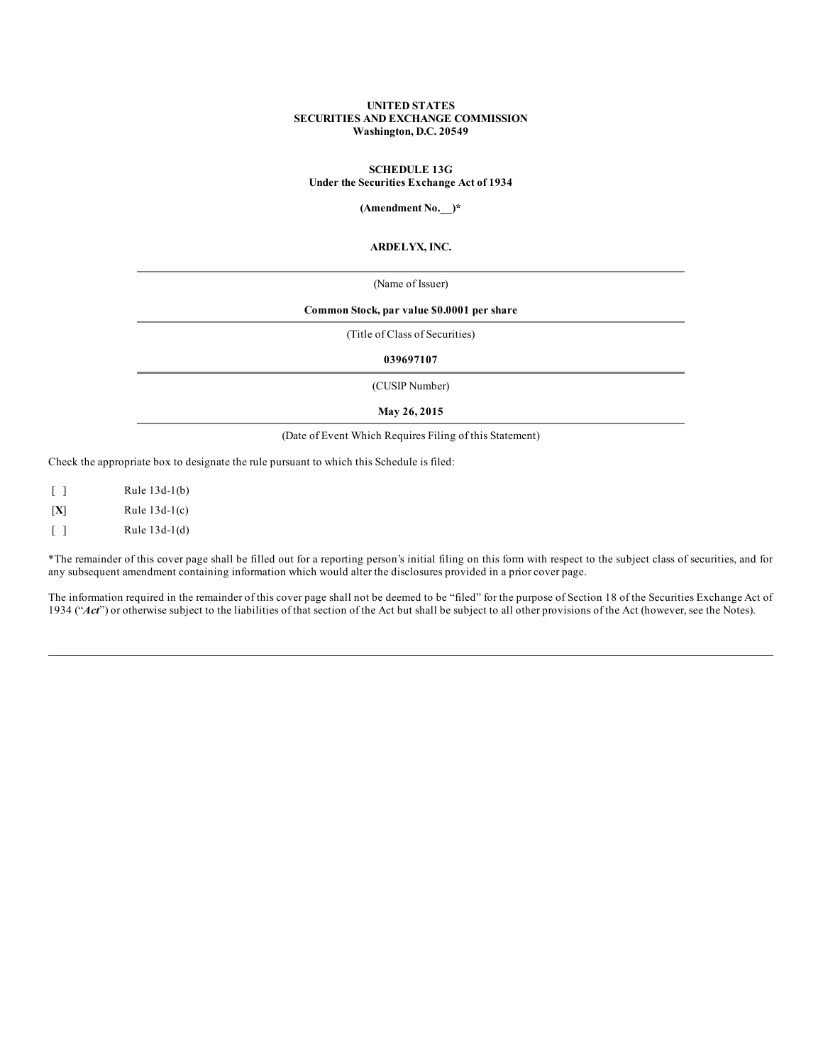### **UNITED STATES SECURITIES AND EXCHANGE COMMISSION Washington, D.C. 20549**

### **SCHEDULE 13G Under the Securities Exchange Act of 1934**

**(Amendment No.\_\_)\***

### **ARDELYX, INC.**

(Name of Issuer)

## **Common Stock, par value \$0.0001 per share**

(Title of Class of Securities)

**039697107**

(CUSIP Number)

**May 26, 2015**

### (Date of Event Which Requires Filing of this Statement)

Check the appropriate box to designate the rule pursuant to which this Schedule is filed:

[ ] Rule 13d-1(b) [**X**] Rule 13d-1(c) [ ] Rule 13d-1(d)

\*The remainder of this cover page shall be filled out for a reporting person's initial filing on this form with respect to the subject class of securities, and for any subsequent amendment containing information which would alter the disclosures provided in a prior cover page.

The information required in the remainder of this cover page shall not be deemed to be "filed" for the purpose of Section 18 of the Securities Exchange Act of 1934 ("*Act*") or otherwise subject to the liabilities of that section of the Act but shall be subject to all other provisions of the Act (however, see the Notes).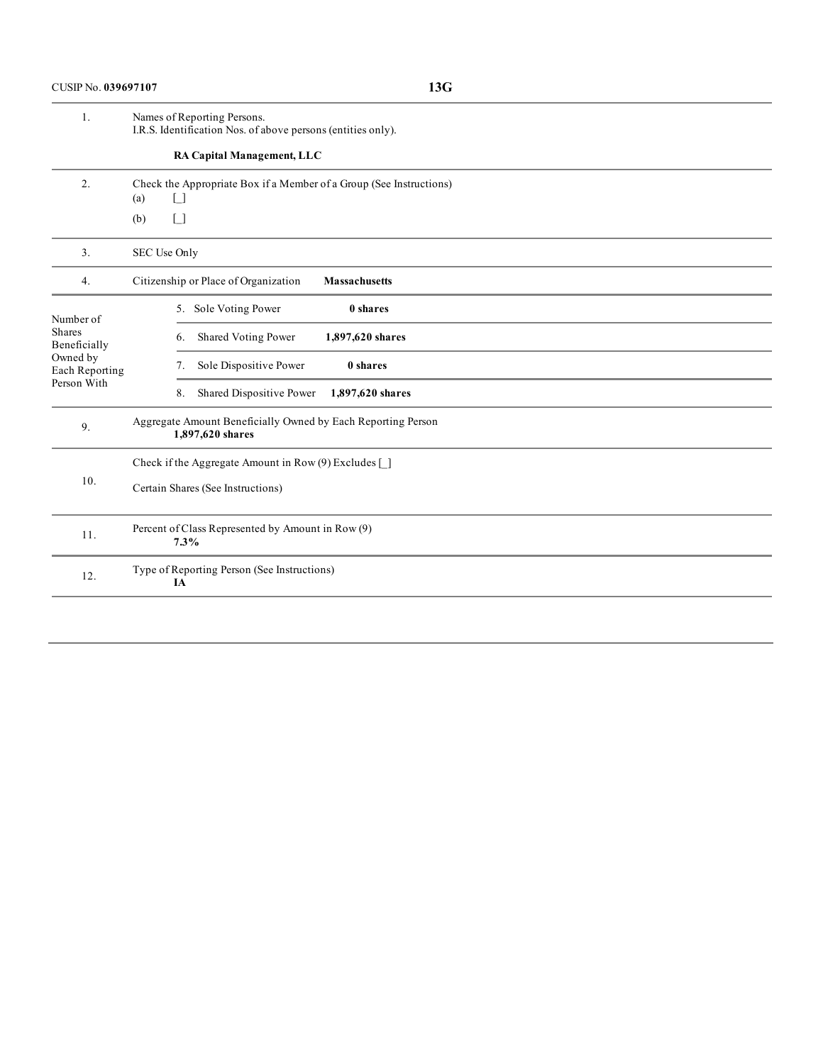| 1.                                                                                      | Names of Reporting Persons.<br>I.R.S. Identification Nos. of above persons (entities only). |
|-----------------------------------------------------------------------------------------|---------------------------------------------------------------------------------------------|
|                                                                                         | RA Capital Management, LLC                                                                  |
| 2.                                                                                      | Check the Appropriate Box if a Member of a Group (See Instructions)<br>(a)<br>$\Box$        |
|                                                                                         | $\Box$<br>(b)                                                                               |
| 3.                                                                                      | SEC Use Only                                                                                |
| 4.                                                                                      | Citizenship or Place of Organization<br><b>Massachusetts</b>                                |
| Number of<br><b>Shares</b><br>Beneficially<br>Owned by<br>Each Reporting<br>Person With | 5. Sole Voting Power<br>0 shares                                                            |
|                                                                                         | Shared Voting Power<br>1,897,620 shares<br>6.                                               |
|                                                                                         | Sole Dispositive Power<br>0 shares<br>7.                                                    |
|                                                                                         | Shared Dispositive Power<br>1,897,620 shares<br>8.                                          |
| 9.                                                                                      | Aggregate Amount Beneficially Owned by Each Reporting Person<br>1,897,620 shares            |
| 10.                                                                                     | Check if the Aggregate Amount in Row $(9)$ Excludes $\lceil \cdot \rceil$                   |
|                                                                                         | Certain Shares (See Instructions)                                                           |
| 11.                                                                                     | Percent of Class Represented by Amount in Row (9)<br>7.3%                                   |
| 12.                                                                                     | Type of Reporting Person (See Instructions)<br>IA                                           |
|                                                                                         |                                                                                             |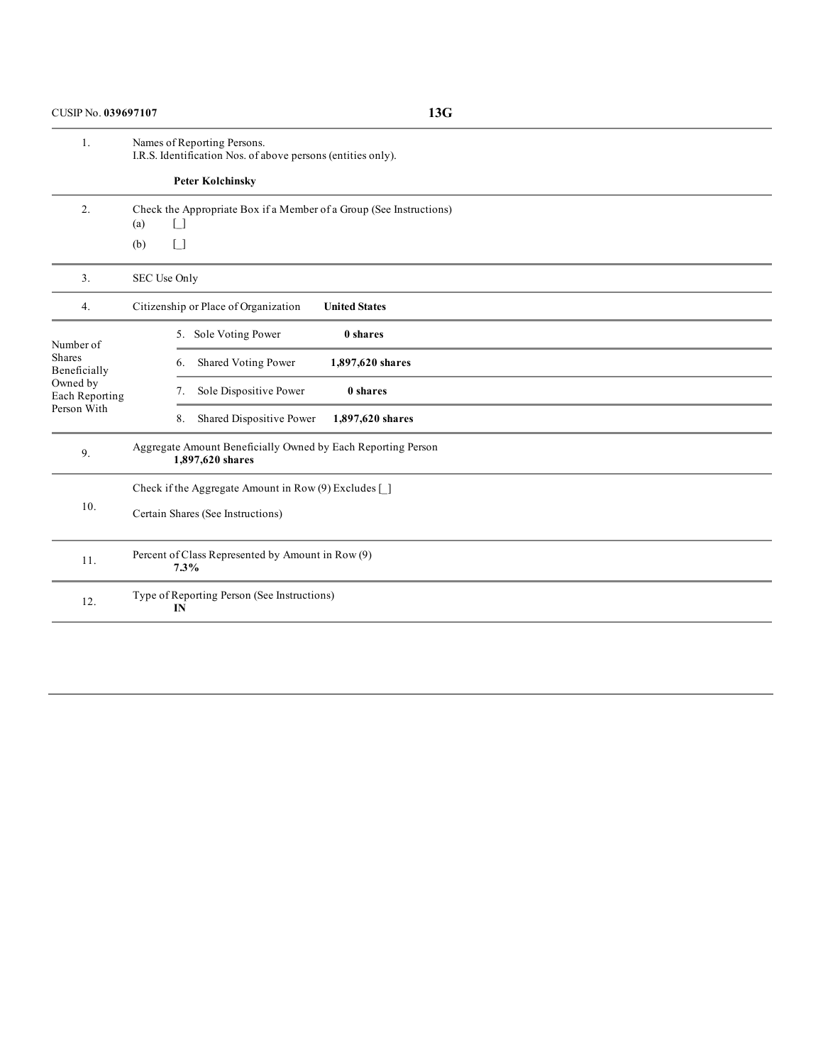CUSIP No. **039697107 13G**

1. Names of Reporting Persons. I.R.S. Identification Nos. of above persons (entities only). **Peter Kolchinsky** 2. Check the Appropriate Box if a Member of a Group (See Instructions)  $(a)$   $\Box$ (b)  $\Box$ 3. SEC Use Only 4. Citizenship or Place of Organization **United States** Number of Shares Beneficially Owned by Each Reporting Person With 5. Sole Voting Power **0 shares** 6. Shared Voting Power **1,897,620 shares** 7. Sole Dispositive Power **0 shares** 8. Shared Dispositive Power **1,897,620 shares** 9. Aggregate Amount Beneficially Owned by Each Reporting Person **1,897,620 shares** 10. Check if the Aggregate Amount in Row (9) Excludes [\_] Certain Shares (See Instructions) 11. Percent of Class Represented by Amount in Row (9) **7.3%** 12. Type of Reporting Person (See Instructions) **IN**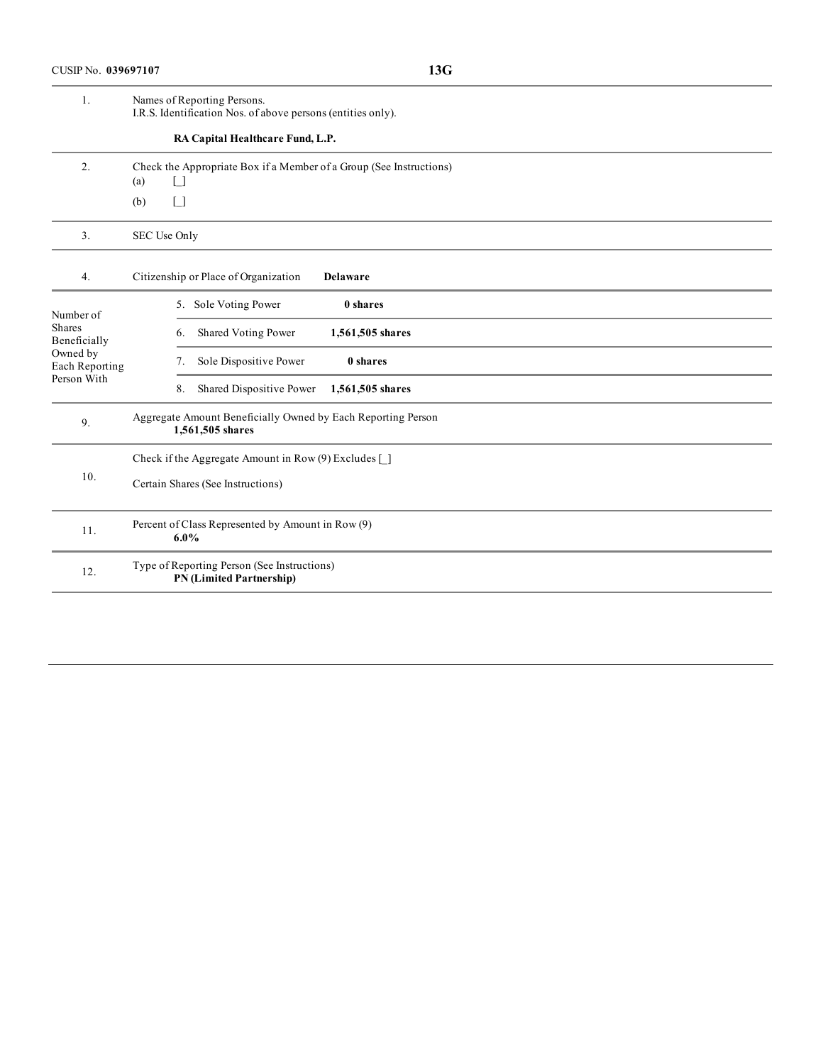| 1.                                                                                      | Names of Reporting Persons.<br>I.R.S. Identification Nos. of above persons (entities only). |
|-----------------------------------------------------------------------------------------|---------------------------------------------------------------------------------------------|
|                                                                                         | RA Capital Healthcare Fund, L.P.                                                            |
| 2.                                                                                      | Check the Appropriate Box if a Member of a Group (See Instructions)<br>$\lceil$ 1<br>(a)    |
|                                                                                         | $\Box$<br>(b)                                                                               |
| 3.                                                                                      | SEC Use Only                                                                                |
| 4.                                                                                      | Citizenship or Place of Organization<br>Delaware                                            |
| Number of<br><b>Shares</b><br>Beneficially<br>Owned by<br>Each Reporting<br>Person With | 5. Sole Voting Power<br>0 shares                                                            |
|                                                                                         | Shared Voting Power<br>1,561,505 shares<br>6.                                               |
|                                                                                         | Sole Dispositive Power<br>0 shares<br>7.                                                    |
|                                                                                         | Shared Dispositive Power<br>8.<br>1,561,505 shares                                          |
| 9.                                                                                      | Aggregate Amount Beneficially Owned by Each Reporting Person<br>1,561,505 shares            |
| 10.                                                                                     | Check if the Aggregate Amount in Row (9) Excludes [ ]                                       |
|                                                                                         | Certain Shares (See Instructions)                                                           |
| 11.                                                                                     | Percent of Class Represented by Amount in Row (9)<br>$6.0\%$                                |
| 12.                                                                                     | Type of Reporting Person (See Instructions)<br><b>PN</b> (Limited Partnership)              |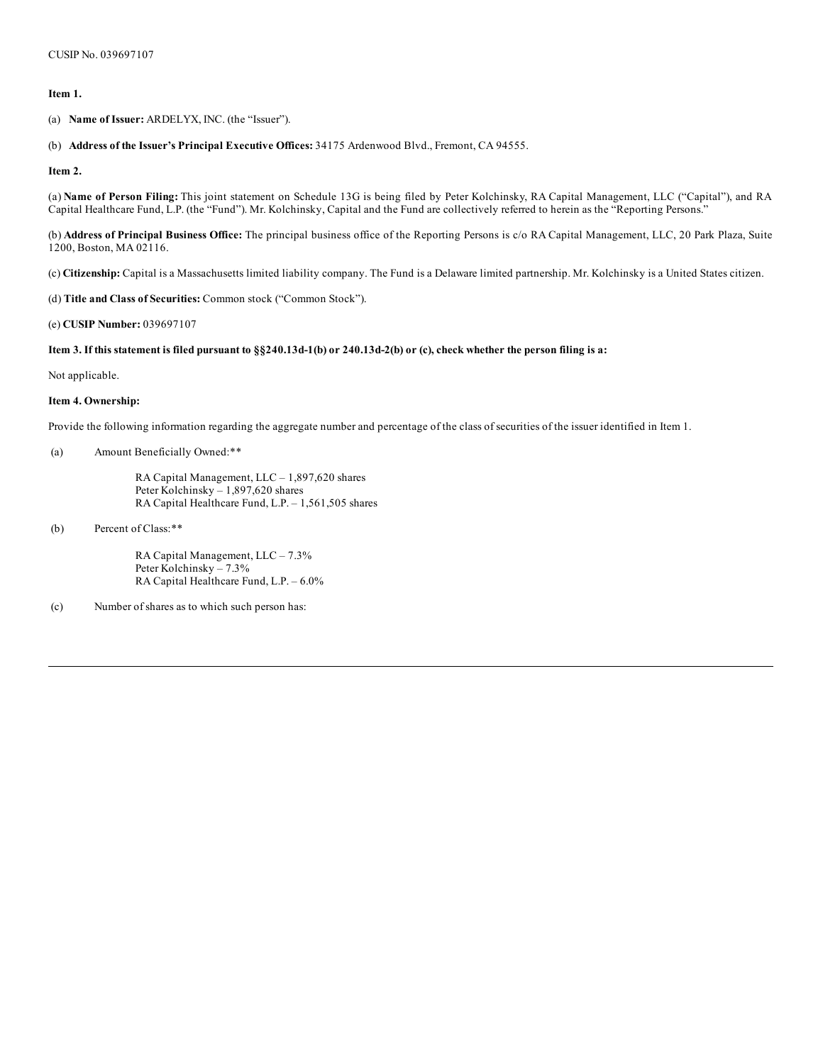### **Item 1.**

(a) **Name of Issuer:** ARDELYX, INC. (the "Issuer").

### (b) **Address of the Issuer's Principal Executive Offices:** 34175 Ardenwood Blvd., Fremont, CA 94555.

**Item 2.**

(a) **Name of Person Filing:** This joint statement on Schedule 13G is being filed by Peter Kolchinsky, RA Capital Management, LLC ("Capital"), and RA Capital Healthcare Fund, L.P. (the "Fund"). Mr. Kolchinsky, Capital and the Fund are collectively referred to herein as the "Reporting Persons."

(b) **Address of Principal Business Office:** The principal business office of the Reporting Persons is c/o RA Capital Management, LLC, 20 Park Plaza, Suite 1200, Boston, MA 02116.

(c) **Citizenship:** Capital is a Massachusetts limited liability company. The Fund is a Delaware limited partnership. Mr. Kolchinsky is a United States citizen.

(d) **Title and Class of Securities:** Common stock ("Common Stock").

(e) **CUSIP Number:** 039697107

### Item 3. If this statement is filed pursuant to §§240.13d-1(b) or 240.13d-2(b) or (c), check whether the person filing is a:

Not applicable.

### **Item 4. Ownership:**

Provide the following information regarding the aggregate number and percentage of the class of securities of the issuer identified in Item 1.

### (a) Amount Beneficially Owned:\*\*

RA Capital Management, LLC – 1,897,620 shares Peter Kolchinsky – 1,897,620 shares RA Capital Healthcare Fund, L.P. – 1,561,505 shares

(b) Percent of Class:\*\*

RA Capital Management, LLC – 7.3% Peter Kolchinsky – 7.3% RA Capital Healthcare Fund, L.P. – 6.0%

(c) Number of shares as to which such person has: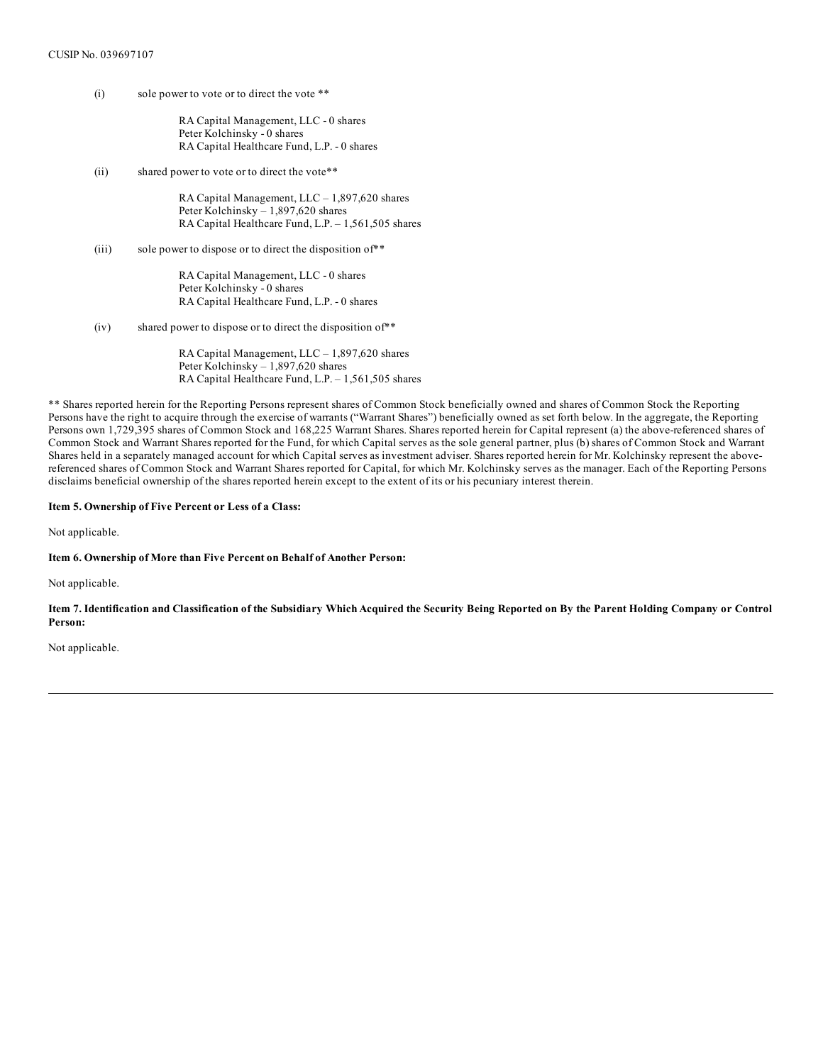(i) sole power to vote or to direct the vote \*\*

RA Capital Management, LLC - 0 shares Peter Kolchinsky - 0 shares RA Capital Healthcare Fund, L.P. - 0 shares

(ii) shared power to vote or to direct the vote\*\*

RA Capital Management, LLC – 1,897,620 shares Peter Kolchinsky – 1,897,620 shares RA Capital Healthcare Fund, L.P. – 1,561,505 shares

(iii) sole power to dispose or to direct the disposition of  $*$ 

RA Capital Management, LLC - 0 shares Peter Kolchinsky - 0 shares RA Capital Healthcare Fund, L.P. - 0 shares

(iv) shared power to dispose or to direct the disposition of\*\*

RA Capital Management, LLC – 1,897,620 shares Peter Kolchinsky – 1,897,620 shares RA Capital Healthcare Fund, L.P. – 1,561,505 shares

\*\* Shares reported herein for the Reporting Persons represent shares of Common Stock beneficially owned and shares of Common Stock the Reporting Persons have the right to acquire through the exercise of warrants ("Warrant Shares") beneficially owned as set forth below. In the aggregate, the Reporting Persons own 1,729,395 shares of Common Stock and 168,225 Warrant Shares. Shares reported herein for Capital represent (a) the above-referenced shares of Common Stock and Warrant Shares reported for the Fund, for which Capital serves as the sole general partner, plus (b) shares of Common Stock and Warrant Shares held in a separately managed account for which Capital serves as investment adviser. Shares reported herein for Mr. Kolchinsky represent the abovereferenced shares of Common Stock and Warrant Shares reported for Capital, for which Mr. Kolchinsky serves as the manager. Each of the Reporting Persons disclaims beneficial ownership of the shares reported herein except to the extent of its or his pecuniary interest therein.

### **Item 5. Ownership of Five Percent or Less of a Class:**

Not applicable.

### **Item 6. Ownership of More than Five Percent on Behalf of Another Person:**

Not applicable.

Item 7. Identification and Classification of the Subsidiary Which Acquired the Security Being Reported on By the Parent Holding Company or Control **Person:**

Not applicable.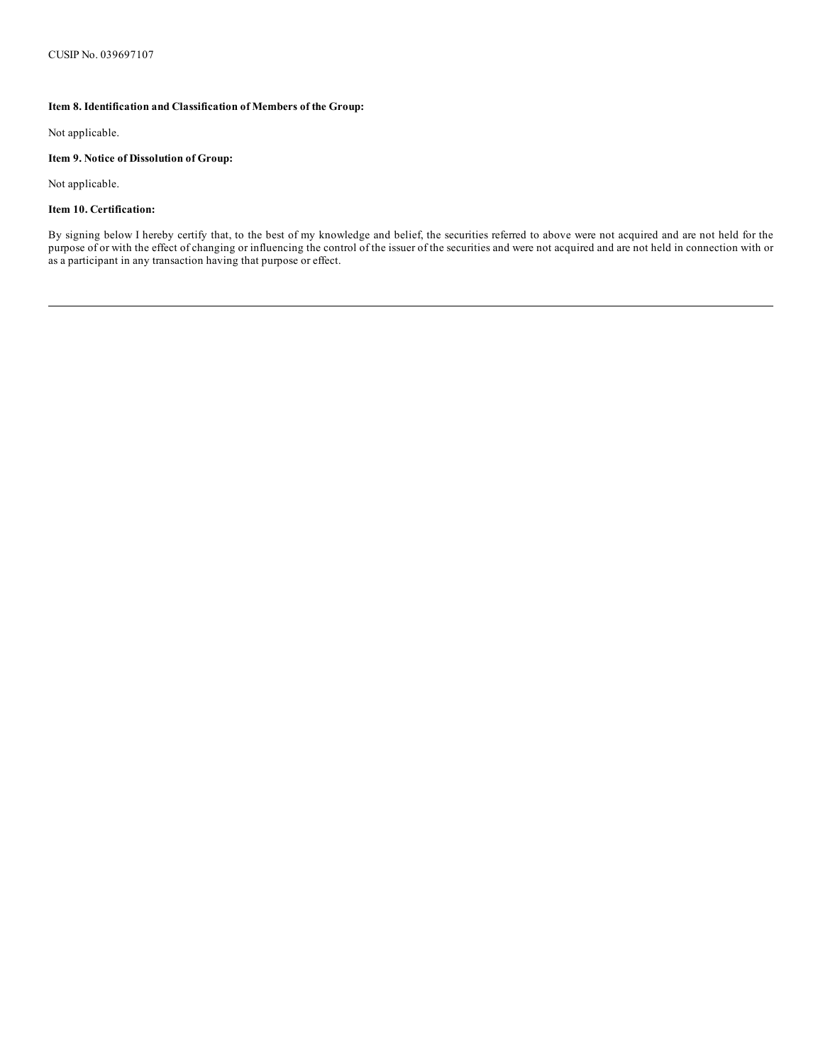## **Item 8. Identification and Classification of Members of the Group:**

Not applicable.

### **Item 9. Notice of Dissolution of Group:**

Not applicable.

## **Item 10. Certification:**

By signing below I hereby certify that, to the best of my knowledge and belief, the securities referred to above were not acquired and are not held for the purpose of or with the effect of changing or influencing the control of the issuer of the securities and were not acquired and are not held in connection with or as a participant in any transaction having that purpose or effect.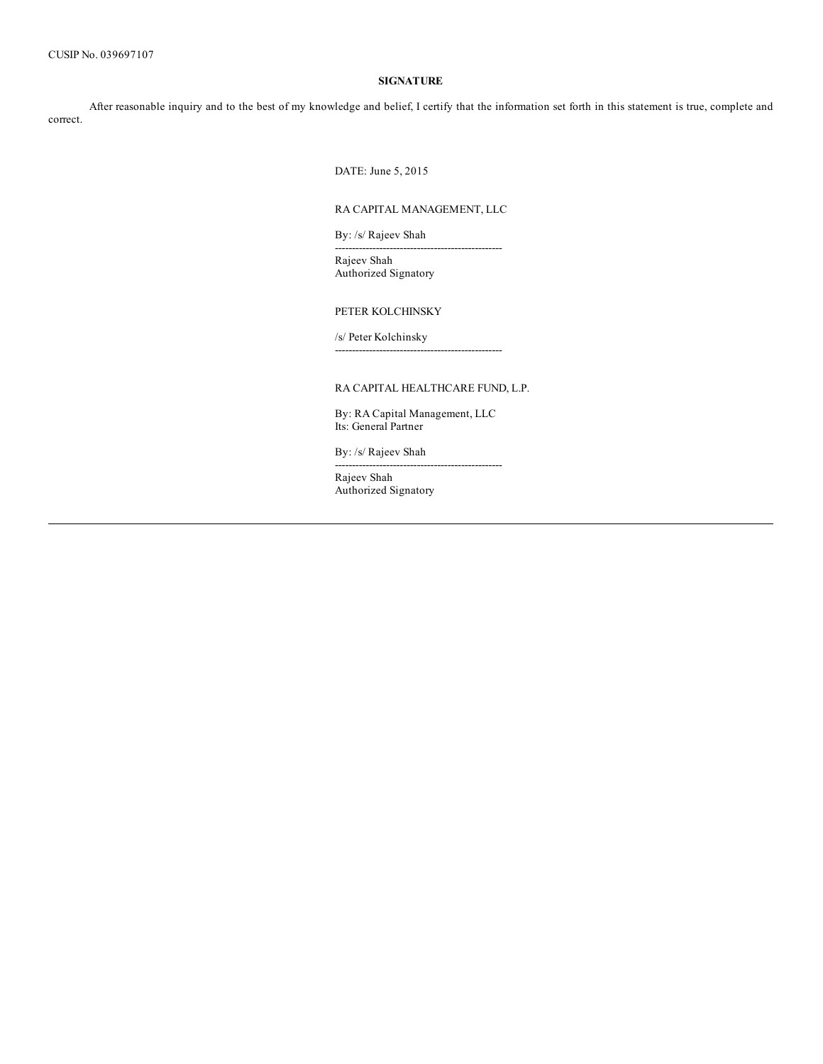# **SIGNATURE**

After reasonable inquiry and to the best of my knowledge and belief, I certify that the information set forth in this statement is true, complete and correct.

DATE: June 5, 2015

## RA CAPITAL MANAGEMENT, LLC

-------------------------------------------------

By: /s/ Rajeev Shah

Rajeev Shah Authorized Signatory

PETER KOLCHINSKY

/s/ Peter Kolchinsky -------------------------------------------------

# RA CAPITAL HEALTHCARE FUND, L.P.

By: RA Capital Management, LLC Its: General Partner

-------------------------------------------------

By: /s/ Rajeev Shah

Rajeev Shah Authorized Signatory